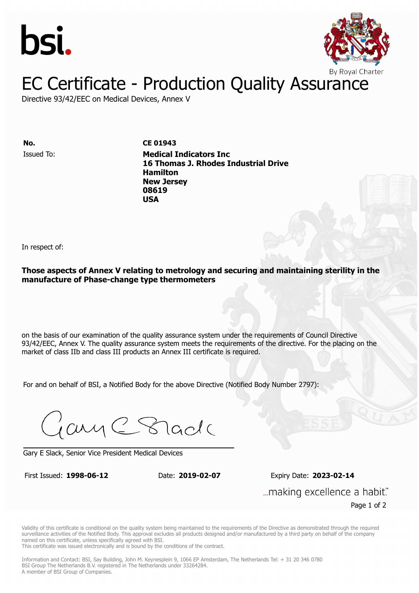



## EC Certificate - Production Quality Assurance

Directive 93/42/EEC on Medical Devices, Annex V

Issued To: **Medical Indicators Inc No. CE 01943 16 Thomas J. Rhodes Industrial Drive Hamilton** Issued To: **Medical Indicators Inc New Jersey 16 Thomas J. Rhodes Industrial Drive 08619 Hamilton New Jersey 08619 USA**

In respect of:

**Those aspects of Annex V relating to metrology and securing and maintaining sterility in the manufacture of Phase-change type thermometers**

on the basis of our examination of the quality assurance system under the requirements of Council Directive 93/42/EEC, Annex V. The quality assurance system meets the requirements of the directive. For the placing on the market of class IIb and class III products an Annex III certificate is required.

For and on behalf of BSI, a Notified Body for the above Directive (Notified Body Number 2797):

Gary C Stade

Gary E Slack, Senior Vice President Medical Devices

First Issued: **1998-06-12** Date: **2019-02-07** 

First Issued: **1998-06-12** Date: **2019-02-07** Expiry Date: **2023-02-14** "...making excellence a habit.

Page 1 of 2

Validity of this certificate is conditional on the quality system being maintained to the requirements of the Directive as demonstrated through the required surveillance activities of the Notified Body. This approval excludes all products designed and/or manufactured by a third party on behalf of the company named on this certificate, unless specifically agreed with BSI.

This certificate was issued electronically and is bound by the conditions of the contract.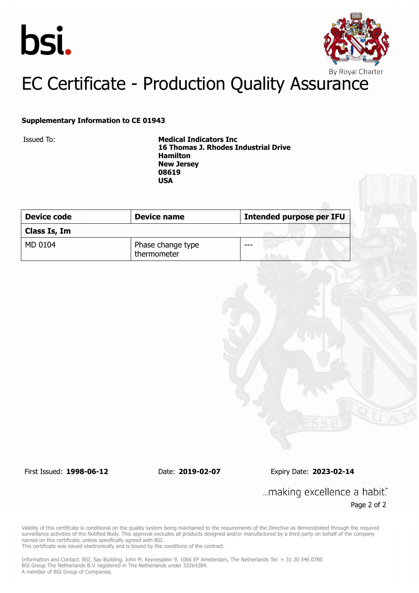



# EC Certificate - Production Quality Assurance

#### **Supplementary Information to CE 01943**

Issued To: **Medical Indicators Inc 16 Thomas J. Rhodes Industrial Drive Hamilton New Jersey 08619 USA**

| <b>Device code</b> | Device name                      | <b>Intended purpose per IFU</b> |
|--------------------|----------------------------------|---------------------------------|
| Class Is, Im       |                                  |                                 |
| MD 0104            | Phase change type<br>thermometer | ---                             |

First Issued: **1998-06-12** Date: **2019-02-07** Expiry Date: **2023-02-14**

... making excellence a habit." Page 2 of 2

Validity of this certificate is conditional on the quality system being maintained to the requirements of the Directive as demonstrated through the required surveillance activities of the Notified Body. This approval excludes all products designed and/or manufactured by a third party on behalf of the company named on this certificate, unless specifically agreed with BSI.

This certificate was issued electronically and is bound by the conditions of the contract.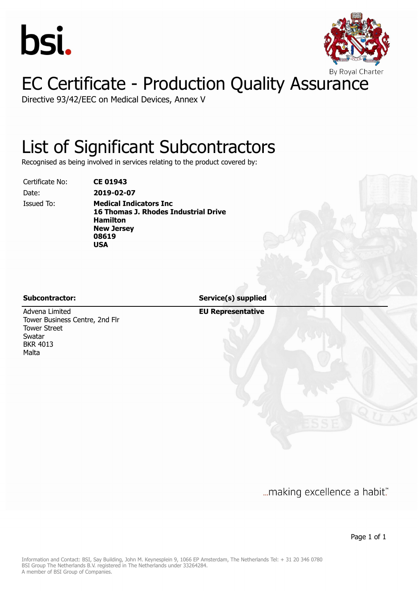



# EC Certificate - Production Quality Assurance

Directive 93/42/EEC on Medical Devices, Annex V

## List of Significant Subcontractors

Recognised as being involved in services relating to the product covered by:

Certificate No: **CE 01943** Date: **2019-02-07**

Issued To: **Medical Indicators Inc 16 Thomas J. Rhodes Industrial Drive Hamilton New Jersey 08619 USA**

**Subcontractor: Service(s) supplied**

Advena Limited Tower Business Centre, 2nd Flr Tower Street Swatar BKR 4013 Malta

**EU Representative**

... making excellence a habit."

Page 1 of 1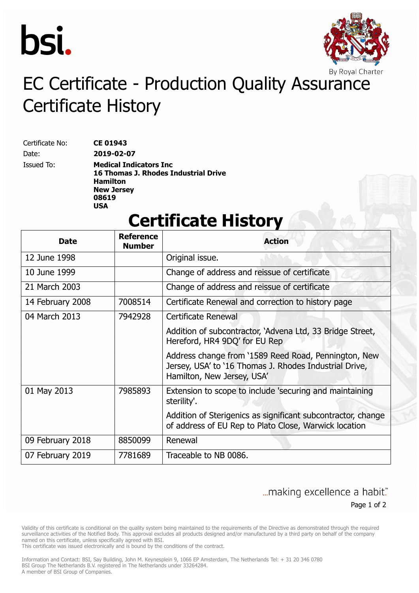



# EC Certificate - Production Quality Assurance Certificate History

Certificate No: **CE 01943** Date: **2019-02-07**

Issued To: **Medical Indicators Inc 16 Thomas J. Rhodes Industrial Drive Hamilton New Jersey 08619 USA**

### **Certificate History**

| Date             | <b>Reference</b><br><b>Number</b> | <b>Action</b>                                                                                                                                |
|------------------|-----------------------------------|----------------------------------------------------------------------------------------------------------------------------------------------|
| 12 June 1998     |                                   | Original issue.                                                                                                                              |
| 10 June 1999     |                                   | Change of address and reissue of certificate                                                                                                 |
| 21 March 2003    |                                   | Change of address and reissue of certificate                                                                                                 |
| 14 February 2008 | 7008514                           | Certificate Renewal and correction to history page                                                                                           |
| 04 March 2013    | 7942928                           | Certificate Renewal                                                                                                                          |
|                  |                                   | Addition of subcontractor, `Advena Ltd, 33 Bridge Street,<br>Hereford, HR4 9DQ' for EU Rep                                                   |
|                  |                                   | Address change from '1589 Reed Road, Pennington, New<br>Jersey, USA' to '16 Thomas J. Rhodes Industrial Drive,<br>Hamilton, New Jersey, USA' |
| 01 May 2013      | 7985893                           | Extension to scope to include 'securing and maintaining<br>sterility'.                                                                       |
|                  |                                   | Addition of Sterigenics as significant subcontractor, change<br>of address of EU Rep to Plato Close, Warwick location                        |
| 09 February 2018 | 8850099                           | Renewal                                                                                                                                      |
| 07 February 2019 | 7781689                           | Traceable to NB 0086.                                                                                                                        |

#### ... making excellence a habit." Page 1 of 2

Validity of this certificate is conditional on the quality system being maintained to the requirements of the Directive as demonstrated through the required surveillance activities of the Notified Body. This approval excludes all products designed and/or manufactured by a third party on behalf of the company named on this certificate, unless specifically agreed with BSI.

This certificate was issued electronically and is bound by the conditions of the contract.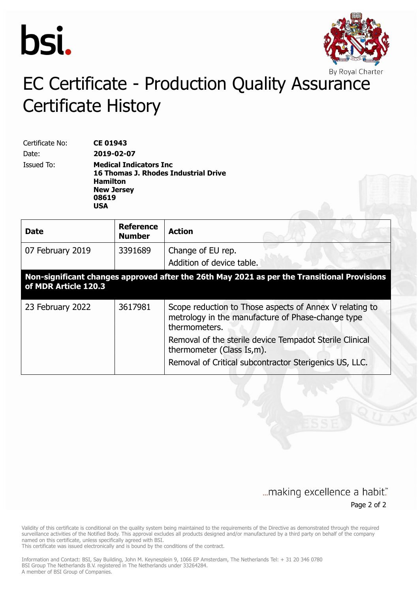



# EC Certificate - Production Quality Assurance Certificate History

Certificate No: **CE 01943** Date: **2019-02-07** Issued To: **Medical Indicators Inc 16 Thomas J. Rhodes Industrial Drive Hamilton New Jersey 08619 USA**

| <b>Date</b>                                                                                                         | <b>Reference</b><br><b>Number</b> | <b>Action</b>                                                                                                                 |  |  |
|---------------------------------------------------------------------------------------------------------------------|-----------------------------------|-------------------------------------------------------------------------------------------------------------------------------|--|--|
| 07 February 2019                                                                                                    | 3391689                           | Change of EU rep.<br>Addition of device table.                                                                                |  |  |
| Non-significant changes approved after the 26th May 2021 as per the Transitional Provisions<br>of MDR Article 120.3 |                                   |                                                                                                                               |  |  |
| 23 February 2022                                                                                                    | 3617981                           | Scope reduction to Those aspects of Annex V relating to<br>metrology in the manufacture of Phase-change type<br>thermometers. |  |  |
|                                                                                                                     |                                   | Removal of the sterile device Tempadot Sterile Clinical<br>thermometer (Class Is,m).                                          |  |  |
|                                                                                                                     |                                   | Removal of Critical subcontractor Sterigenics US, LLC.                                                                        |  |  |

#### ... making excellence a habit." Page 2 of 2

Validity of this certificate is conditional on the quality system being maintained to the requirements of the Directive as demonstrated through the required surveillance activities of the Notified Body. This approval excludes all products designed and/or manufactured by a third party on behalf of the company named on this certificate, unless specifically agreed with BSI.

This certificate was issued electronically and is bound by the conditions of the contract.